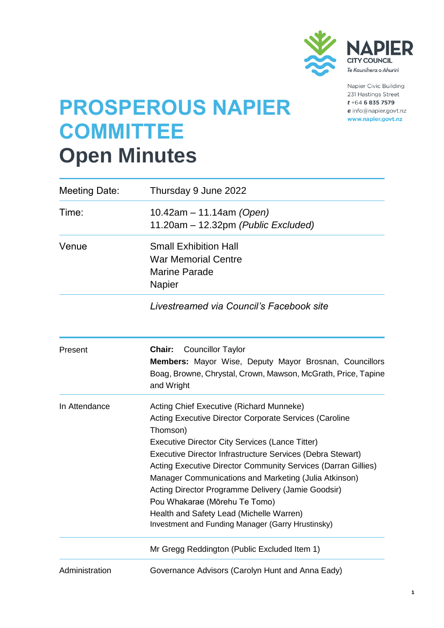

Napier Civic Building 231 Hastings Street  $t + 64$  6 835 7579 e info@napier.govt.nz www.napier.govt.nz

# **PROSPEROUS NAPIER COMMITTEE Open Minutes**

| <b>Meeting Date:</b> | Thursday 9 June 2022                                                                                                                                                                                                                                                                                                                                                                                                                                                                                                                                            |  |
|----------------------|-----------------------------------------------------------------------------------------------------------------------------------------------------------------------------------------------------------------------------------------------------------------------------------------------------------------------------------------------------------------------------------------------------------------------------------------------------------------------------------------------------------------------------------------------------------------|--|
| Time:                | 10.42am – 11.14am <i>(Open)</i><br>11.20am - 12.32pm (Public Excluded)                                                                                                                                                                                                                                                                                                                                                                                                                                                                                          |  |
| Venue                | <b>Small Exhibition Hall</b><br><b>War Memorial Centre</b><br><b>Marine Parade</b><br><b>Napier</b>                                                                                                                                                                                                                                                                                                                                                                                                                                                             |  |
|                      | Livestreamed via Council's Facebook site                                                                                                                                                                                                                                                                                                                                                                                                                                                                                                                        |  |
| Present              | <b>Councillor Taylor</b><br>Chair:<br><b>Members:</b> Mayor Wise, Deputy Mayor Brosnan, Councillors<br>Boag, Browne, Chrystal, Crown, Mawson, McGrath, Price, Tapine<br>and Wright                                                                                                                                                                                                                                                                                                                                                                              |  |
| In Attendance        | Acting Chief Executive (Richard Munneke)<br><b>Acting Executive Director Corporate Services (Caroline</b><br>Thomson)<br><b>Executive Director City Services (Lance Titter)</b><br>Executive Director Infrastructure Services (Debra Stewart)<br>Acting Executive Director Community Services (Darran Gillies)<br>Manager Communications and Marketing (Julia Atkinson)<br>Acting Director Programme Delivery (Jamie Goodsir)<br>Pou Whakarae (Mōrehu Te Tomo)<br>Health and Safety Lead (Michelle Warren)<br>Investment and Funding Manager (Garry Hrustinsky) |  |
|                      | Mr Gregg Reddington (Public Excluded Item 1)                                                                                                                                                                                                                                                                                                                                                                                                                                                                                                                    |  |
| Administration       | Governance Advisors (Carolyn Hunt and Anna Eady)                                                                                                                                                                                                                                                                                                                                                                                                                                                                                                                |  |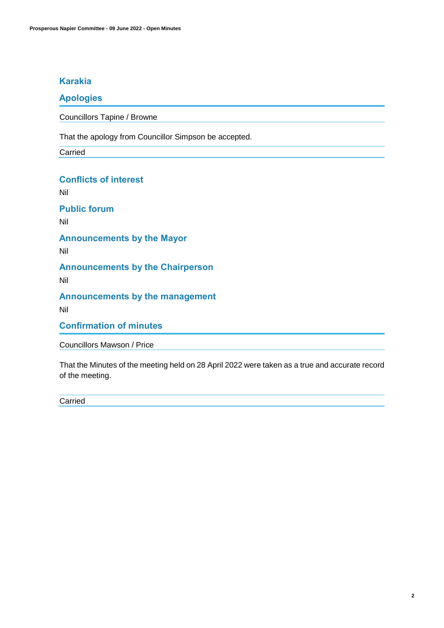# **Karakia**

# **Apologies**

Councillors Tapine / Browne

That the apology from Councillor Simpson be accepted.

Carried

# **Conflicts of interest**

Nil

**Public forum** 

Nil

**Announcements by the Mayor**

Nil

# **Announcements by the Chairperson**

Nil

# **Announcements by the management**

Nil

**Confirmation of minutes**

Councillors Mawson / Price

That the Minutes of the meeting held on 28 April 2022 were taken as a true and accurate record of the meeting.

Carried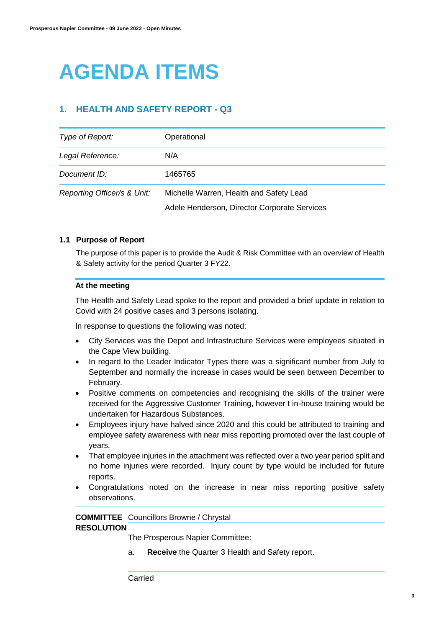# **AGENDA ITEMS**

# **1. HEALTH AND SAFETY REPORT - Q3**

| Type of Report:             | Operational                                  |
|-----------------------------|----------------------------------------------|
| Legal Reference:            | N/A                                          |
| Document ID:                | 1465765                                      |
| Reporting Officer/s & Unit: | Michelle Warren, Health and Safety Lead      |
|                             | Adele Henderson, Director Corporate Services |

### **1.1 Purpose of Report**

The purpose of this paper is to provide the Audit & Risk Committee with an overview of Health & Safety activity for the period Quarter 3 FY22.

### **At the meeting**

The Health and Safety Lead spoke to the report and provided a brief update in relation to Covid with 24 positive cases and 3 persons isolating.

In response to questions the following was noted:

- City Services was the Depot and Infrastructure Services were employees situated in the Cape View building.
- In regard to the Leader Indicator Types there was a significant number from July to September and normally the increase in cases would be seen between December to February.
- Positive comments on competencies and recognising the skills of the trainer were received for the Aggressive Customer Training, however t in-house training would be undertaken for Hazardous Substances.
- Employees injury have halved since 2020 and this could be attributed to training and employee safety awareness with near miss reporting promoted over the last couple of years.
- That employee injuries in the attachment was reflected over a two year period split and no home injuries were recorded. Injury count by type would be included for future reports.
- Congratulations noted on the increase in near miss reporting positive safety observations.

### **COMMITTEE**  Councillors Browne / Chrystal **RESOLUTION**

The Prosperous Napier Committee:

a. **Receive** the Quarter 3 Health and Safety report.

Carried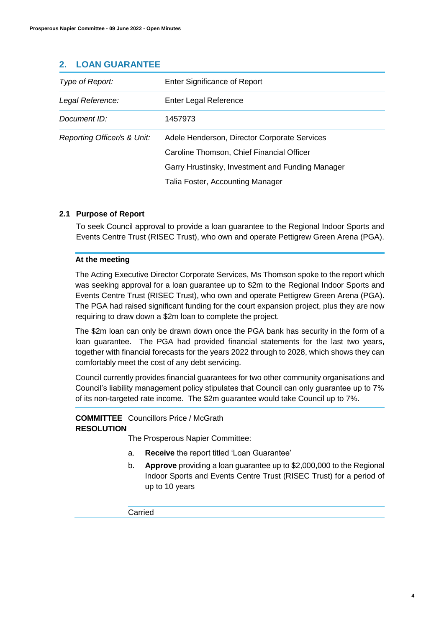| Type of Report:             | Enter Significance of Report                                                                                                                                                      |
|-----------------------------|-----------------------------------------------------------------------------------------------------------------------------------------------------------------------------------|
| Legal Reference:            | <b>Enter Legal Reference</b>                                                                                                                                                      |
| Document ID:                | 1457973                                                                                                                                                                           |
| Reporting Officer/s & Unit: | Adele Henderson, Director Corporate Services<br>Caroline Thomson, Chief Financial Officer<br>Garry Hrustinsky, Investment and Funding Manager<br>Talia Foster, Accounting Manager |

## **2. LOAN GUARANTEE**

### **2.1 Purpose of Report**

To seek Council approval to provide a loan guarantee to the Regional Indoor Sports and Events Centre Trust (RISEC Trust), who own and operate Pettigrew Green Arena (PGA).

### **At the meeting**

The Acting Executive Director Corporate Services, Ms Thomson spoke to the report which was seeking approval for a loan guarantee up to \$2m to the Regional Indoor Sports and Events Centre Trust (RISEC Trust), who own and operate Pettigrew Green Arena (PGA). The PGA had raised significant funding for the court expansion project, plus they are now requiring to draw down a \$2m loan to complete the project.

The \$2m loan can only be drawn down once the PGA bank has security in the form of a loan guarantee. The PGA had provided financial statements for the last two years, together with financial forecasts for the years 2022 through to 2028, which shows they can comfortably meet the cost of any debt servicing.

Council currently provides financial guarantees for two other community organisations and Council's liability management policy stipulates that Council can only guarantee up to 7% of its non-targeted rate income. The \$2m guarantee would take Council up to 7%.

### **COMMITTEE**  Councillors Price / McGrath

### **RESOLUTION**

The Prosperous Napier Committee:

- a. **Receive** the report titled 'Loan Guarantee'
- b. **Approve** providing a loan guarantee up to \$2,000,000 to the Regional Indoor Sports and Events Centre Trust (RISEC Trust) for a period of up to 10 years

Carried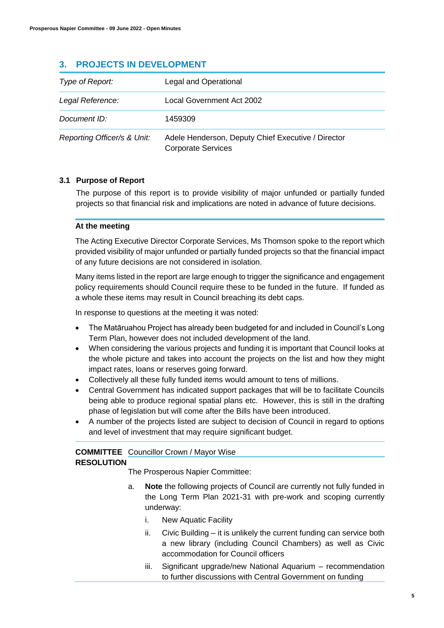# **3. PROJECTS IN DEVELOPMENT**

| Type of Report:             | Legal and Operational                                                           |
|-----------------------------|---------------------------------------------------------------------------------|
| Legal Reference:            | Local Government Act 2002                                                       |
| Document ID:                | 1459309                                                                         |
| Reporting Officer/s & Unit: | Adele Henderson, Deputy Chief Executive / Director<br><b>Corporate Services</b> |

### **3.1 Purpose of Report**

The purpose of this report is to provide visibility of major unfunded or partially funded projects so that financial risk and implications are noted in advance of future decisions.

### **At the meeting**

The Acting Executive Director Corporate Services, Ms Thomson spoke to the report which provided visibility of major unfunded or partially funded projects so that the financial impact of any future decisions are not considered in isolation.

Many items listed in the report are large enough to trigger the significance and engagement policy requirements should Council require these to be funded in the future. If funded as a whole these items may result in Council breaching its debt caps.

In response to questions at the meeting it was noted:

- The Matāruahou Project has already been budgeted for and included in Council's Long Term Plan, however does not included development of the land.
- When considering the various projects and funding it is important that Council looks at the whole picture and takes into account the projects on the list and how they might impact rates, loans or reserves going forward.
- Collectively all these fully funded items would amount to tens of millions.
- Central Government has indicated support packages that will be to facilitate Councils being able to produce regional spatial plans etc. However, this is still in the drafting phase of legislation but will come after the Bills have been introduced.
- A number of the projects listed are subject to decision of Council in regard to options and level of investment that may require significant budget.

# **COMMITTEE**  Councillor Crown / Mayor Wise

## **RESOLUTION**

The Prosperous Napier Committee:

- a. **Note** the following projects of Council are currently not fully funded in the Long Term Plan 2021-31 with pre-work and scoping currently underway:
	- i. New Aquatic Facility
	- ii. Civic Building it is unlikely the current funding can service both a new library (including Council Chambers) as well as Civic accommodation for Council officers
	- iii. Significant upgrade/new National Aquarium recommendation to further discussions with Central Government on funding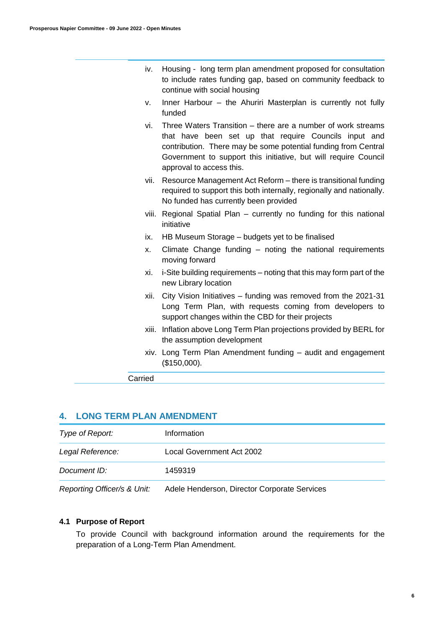| iv. Housing - long term plan amendment proposed for consultation |
|------------------------------------------------------------------|
| to include rates funding gap, based on community feedback to     |
| continue with social housing                                     |

- v. Inner Harbour the Ahuriri Masterplan is currently not fully funded
- vi. Three Waters Transition there are a number of work streams that have been set up that require Councils input and contribution. There may be some potential funding from Central Government to support this initiative, but will require Council approval to access this.
- vii. Resource Management Act Reform there is transitional funding required to support this both internally, regionally and nationally. No funded has currently been provided
- viii. Regional Spatial Plan currently no funding for this national initiative
- ix. HB Museum Storage budgets yet to be finalised
- x. Climate Change funding noting the national requirements moving forward
- xi. i-Site building requirements noting that this may form part of the new Library location
- xii. City Vision Initiatives funding was removed from the 2021-31 Long Term Plan, with requests coming from developers to support changes within the CBD for their projects
- xiii. Inflation above Long Term Plan projections provided by BERL for the assumption development
- xiv. Long Term Plan Amendment funding audit and engagement (\$150,000).
- Carried

## **4. LONG TERM PLAN AMENDMENT**

| Type of Report:  | Information                                                                                                                                                                                                                                                                              |
|------------------|------------------------------------------------------------------------------------------------------------------------------------------------------------------------------------------------------------------------------------------------------------------------------------------|
| Legal Reference: | Local Government Act 2002                                                                                                                                                                                                                                                                |
| Document ID:     | 1459319                                                                                                                                                                                                                                                                                  |
|                  | $\Box$ . $\Box$ . $\Box$ . $\Box$ . $\Box$ . All is set . $\Box$ . $\Box$ . $\Box$ . $\Box$ . $\Box$ . $\Box$ . $\Box$ . $\Box$ . $\Box$ . $\Box$ . $\Box$ . $\Box$ . $\Box$ . $\Box$ . $\Box$ . $\Box$ . $\Box$ . $\Box$ . $\Box$ . $\Box$ . $\Box$ . $\Box$ . $\Box$ . $\Box$ . $\Box$ |

*Reporting Officer/s & Unit:* Adele Henderson, Director Corporate Services

### **4.1 Purpose of Report**

To provide Council with background information around the requirements for the preparation of a Long-Term Plan Amendment.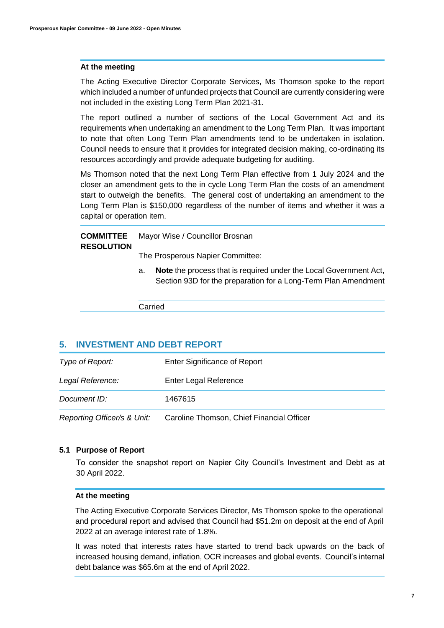### **At the meeting**

The Acting Executive Director Corporate Services, Ms Thomson spoke to the report which included a number of unfunded projects that Council are currently considering were not included in the existing Long Term Plan 2021-31.

The report outlined a number of sections of the Local Government Act and its requirements when undertaking an amendment to the Long Term Plan. It was important to note that often Long Term Plan amendments tend to be undertaken in isolation. Council needs to ensure that it provides for integrated decision making, co-ordinating its resources accordingly and provide adequate budgeting for auditing.

Ms Thomson noted that the next Long Term Plan effective from 1 July 2024 and the closer an amendment gets to the in cycle Long Term Plan the costs of an amendment start to outweigh the benefits. The general cost of undertaking an amendment to the Long Term Plan is \$150,000 regardless of the number of items and whether it was a capital or operation item.

|  | <b>COMMITTEE</b> | Mayor Wise / Councillor Brosnan |
|--|------------------|---------------------------------|
|--|------------------|---------------------------------|

### **RESOLUTION**

The Prosperous Napier Committee:

a. **Note** the process that is required under the Local Government Act, Section 93D for the preparation for a Long-Term Plan Amendment

Carried

### **5. INVESTMENT AND DEBT REPORT**

|                  | Denoutles Officeds Alliette - Occolles Thomasa, Ohiof Floorestel Officers |
|------------------|---------------------------------------------------------------------------|
| Document ID:     | 1467615                                                                   |
| Legal Reference: | Enter Legal Reference                                                     |
| Type of Report:  | Enter Significance of Report                                              |

*Reporting Officer/s & Unit:* Caroline Thomson, Chief Financial Officer

### **5.1 Purpose of Report**

To consider the snapshot report on Napier City Council's Investment and Debt as at 30 April 2022.

### **At the meeting**

The Acting Executive Corporate Services Director, Ms Thomson spoke to the operational and procedural report and advised that Council had \$51.2m on deposit at the end of April 2022 at an average interest rate of 1.8%.

It was noted that interests rates have started to trend back upwards on the back of increased housing demand, inflation, OCR increases and global events. Council's internal debt balance was \$65.6m at the end of April 2022.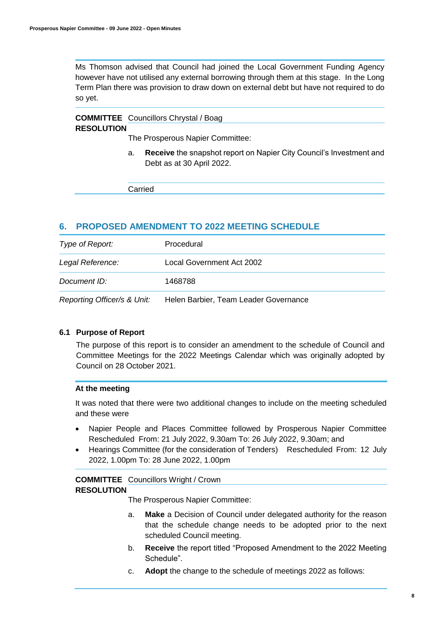Ms Thomson advised that Council had joined the Local Government Funding Agency however have not utilised any external borrowing through them at this stage. In the Long Term Plan there was provision to draw down on external debt but have not required to do so yet.

#### **COMMITTEE**  Councillors Chrystal / Boag **RESOLUTION**

The Prosperous Napier Committee:

a. **Receive** the snapshot report on Napier City Council's Investment and Debt as at 30 April 2022.

Carried

## **6. PROPOSED AMENDMENT TO 2022 MEETING SCHEDULE**

| Type of Report:             | Procedural                            |
|-----------------------------|---------------------------------------|
| Legal Reference:            | Local Government Act 2002             |
| Document ID:                | 1468788                               |
| Reporting Officer/s & Unit: | Helen Barbier, Team Leader Governance |

### **6.1 Purpose of Report**

The purpose of this report is to consider an amendment to the schedule of Council and Committee Meetings for the 2022 Meetings Calendar which was originally adopted by Council on 28 October 2021.

### **At the meeting**

It was noted that there were two additional changes to include on the meeting scheduled and these were

- Napier People and Places Committee followed by Prosperous Napier Committee Rescheduled From: 21 July 2022, 9.30am To: 26 July 2022, 9.30am; and
- Hearings Committee (for the consideration of Tenders) Rescheduled From: 12 July 2022, 1.00pm To: 28 June 2022, 1.00pm

### **COMMITTEE**  Councillors Wright / Crown **RESOLUTION**

The Prosperous Napier Committee:

- a. **Make** a Decision of Council under delegated authority for the reason that the schedule change needs to be adopted prior to the next scheduled Council meeting.
- b. **Receive** the report titled "Proposed Amendment to the 2022 Meeting Schedule".
- c. **Adopt** the change to the schedule of meetings 2022 as follows: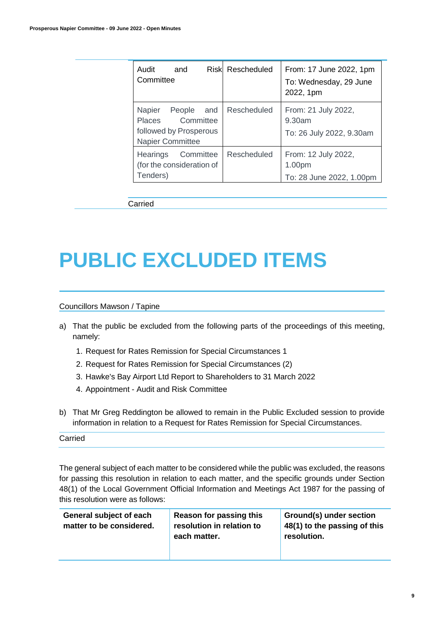| Audit<br>and<br>Committee                                                           | <b>Riskl Rescheduled</b> | From: 17 June 2022, 1pm<br>To: Wednesday, 29 June<br>2022, 1pm |
|-------------------------------------------------------------------------------------|--------------------------|----------------------------------------------------------------|
| Napier People and<br>Places Committee<br>followed by Prosperous<br>Napier Committee | Rescheduled              | From: 21 July 2022,<br>9.30am<br>To: 26 July 2022, 9.30am      |
| Hearings<br>Committee<br>(for the consideration of<br>Tenders)                      | Rescheduled              | From: 12 July 2022,<br>1.00pm<br>To: 28 June 2022, 1.00pm      |

Carried

# **PUBLIC EXCLUDED ITEMS**

#### Councillors Mawson / Tapine

- a) That the public be excluded from the following parts of the proceedings of this meeting, namely:
	- 1. Request for Rates Remission for Special Circumstances 1
	- 2. Request for Rates Remission for Special Circumstances (2)
	- 3. Hawke's Bay Airport Ltd Report to Shareholders to 31 March 2022
	- 4. Appointment Audit and Risk Committee
- b) That Mr Greg Reddington be allowed to remain in the Public Excluded session to provide information in relation to a Request for Rates Remission for Special Circumstances.

### Carried

The general subject of each matter to be considered while the public was excluded, the reasons for passing this resolution in relation to each matter, and the specific grounds under Section 48(1) of the Local Government Official Information and Meetings Act 1987 for the passing of this resolution were as follows:

| Reason for passing this   | Ground(s) under section      |
|---------------------------|------------------------------|
| resolution in relation to | 48(1) to the passing of this |
| each matter.              | resolution.                  |
|                           |                              |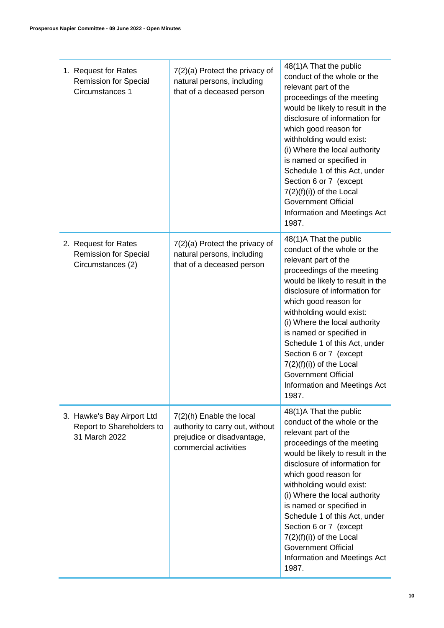| 1. Request for Rates<br><b>Remission for Special</b><br>Circumstances 1   | 7(2)(a) Protect the privacy of<br>natural persons, including<br>that of a deceased person                            | 48(1)A That the public<br>conduct of the whole or the<br>relevant part of the<br>proceedings of the meeting<br>would be likely to result in the<br>disclosure of information for<br>which good reason for<br>withholding would exist:<br>(i) Where the local authority<br>is named or specified in<br>Schedule 1 of this Act, under<br>Section 6 or 7 (except<br>$7(2)(f)(i))$ of the Local<br><b>Government Official</b><br>Information and Meetings Act<br>1987. |
|---------------------------------------------------------------------------|----------------------------------------------------------------------------------------------------------------------|--------------------------------------------------------------------------------------------------------------------------------------------------------------------------------------------------------------------------------------------------------------------------------------------------------------------------------------------------------------------------------------------------------------------------------------------------------------------|
| 2. Request for Rates<br><b>Remission for Special</b><br>Circumstances (2) | 7(2)(a) Protect the privacy of<br>natural persons, including<br>that of a deceased person                            | 48(1)A That the public<br>conduct of the whole or the<br>relevant part of the<br>proceedings of the meeting<br>would be likely to result in the<br>disclosure of information for<br>which good reason for<br>withholding would exist:<br>(i) Where the local authority<br>is named or specified in<br>Schedule 1 of this Act, under<br>Section 6 or 7 (except<br>$7(2)(f)(i))$ of the Local<br><b>Government Official</b><br>Information and Meetings Act<br>1987. |
| 3. Hawke's Bay Airport Ltd<br>Report to Shareholders to<br>31 March 2022  | $7(2)(h)$ Enable the local<br>authority to carry out, without<br>prejudice or disadvantage,<br>commercial activities | 48(1)A That the public<br>conduct of the whole or the<br>relevant part of the<br>proceedings of the meeting<br>would be likely to result in the<br>disclosure of information for<br>which good reason for<br>withholding would exist:<br>(i) Where the local authority<br>is named or specified in<br>Schedule 1 of this Act, under<br>Section 6 or 7 (except<br>$7(2)(f)(i))$ of the Local<br><b>Government Official</b><br>Information and Meetings Act<br>1987. |